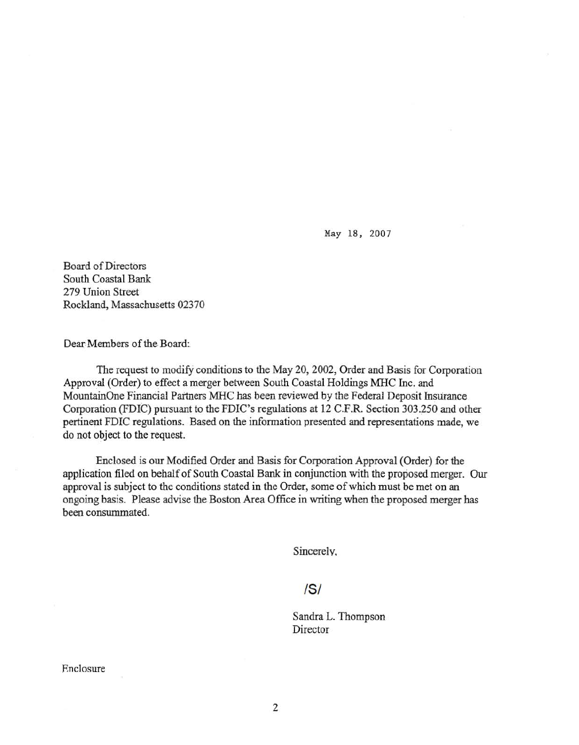May 18, 2007

Board of Directors South Coastal Bank 279 Union Street Rockland, Massachusetts 02370

Dear Members of the Board:

The request to modify conditions to the May 20, 2002, Order and Basis for Corporation Approval (Order) to effect a merger between South Coastal Holdings MHC Inc. and MountainOne Financial Partners MHC has been reviewed by the Federal Deposit Insurance Corporation (FDIC) pursuant to the FDIC's regulations at 12 C.F.R. Section 303.250 and other pertinent FDIC regulations. Based on the information presented and representations made, we do not object to the request.

Enclosed is our Modified Order and Basis for Corporation Approval (Order) for the application filed on behalf of South Coastal Bank in conjunction with the proposed merger. Our approval is subject to the conditions stated in the Order, some of which must be met on an ongoing basis. Please advise the Boston Area Office in writing when the proposed merger has been consummated.

Sincereiv.

# IS/

Sandra L. Thompson Director

Enclosure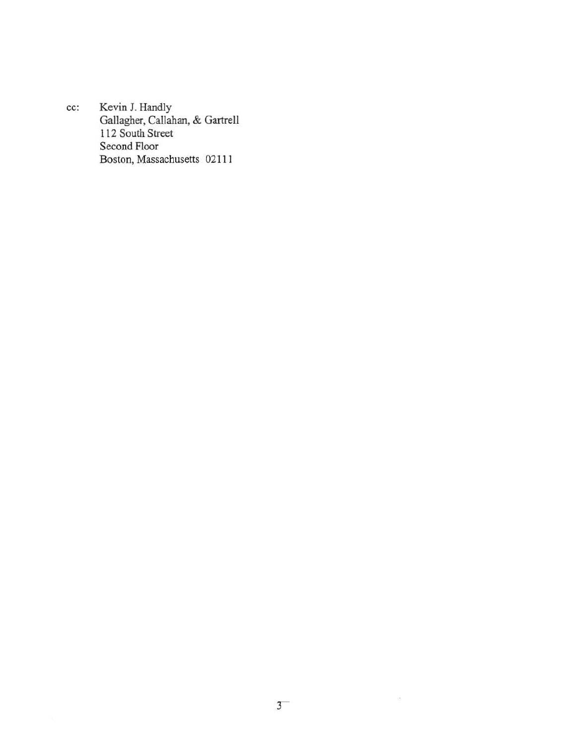cc: Kevin J. Handly Gallagher, Callahan, & Gartrell 112 South Street Second Floor Boston, Massachusetts 02111

 $\mathcal{L}_{\mathcal{S}}$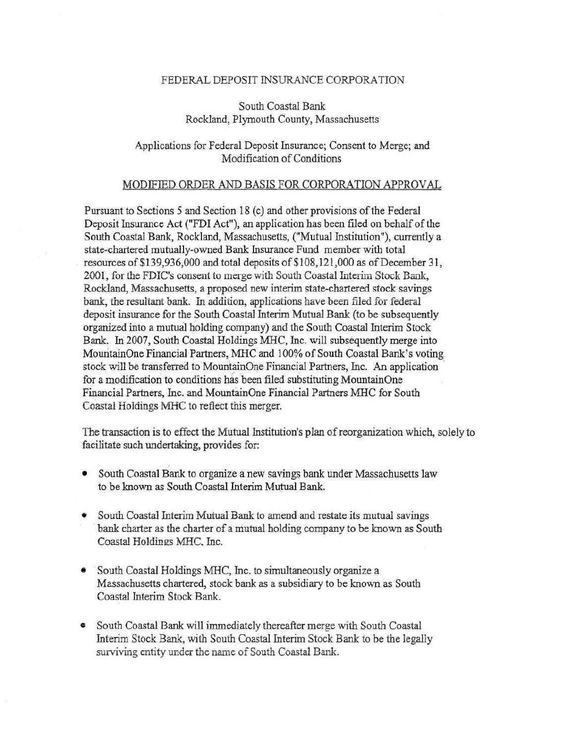#### FEDERAL DEPOSIT INSURANCE CORPORATION

South Coastal Bank Rockland, Plymouth County, Massachusetts

### Applications for Federal Deposit Insurance; Consent to Merge; and Modification of Conditions

#### MODIFIED ORDER AND BASIS FOR CORPORATION APPROVAL

Pursuant to Sections 5 and Section 18 (c) and other provisions of the Federal Deposit Insurance Act ("FDI Act"); an application has been filed on behalf of the South Coastal Bank, Rockland, Massachusetts, ("Mutual Institution"), currently a state-chartered mutually-owned Bank Insurance Fund member with total resources of \$139,936,000 and total deposits of \$108,121,000 as of December 31, 2001, for the FDIC's consent to merge with South Coastal Interim Stock Bank, Rockland, Massachusetts, a proposed new interim state-chartered stock savings bank, the resuitant bank. In addition, applications have been filed for federal deposit insurance for the South Coastal Interim Mutual Bank (to be subsequently organized into a mutual holding company) and the South Coastal Interim Stock Bank. In 2007, South Coastal Holdings MHC, Inc. will subsequently merge into MountainOne Financial Partners, MHC and 100% of South Coastal Bank's voting stock will be transferred to MountainOne Financial Partners, Inc. An application for a modification to conditions has been filed substituting MountainOne Financial Partners, Inc. and Mountain One Financial Partners MHC for South Coastal Holdings MHC to reflect this merger.

The transaction is to effect the Mutual Institution's plan of reorganization which, solely to facilitate such undertaking, provides for:

- South Coastal Bank to organize a new savings bank under Massachusetts law to be known as South Coastal Interim Mutual Bank.
- South Coastal Interim Mutual Bank to amend and restate its mutual savings bank charter as the charter of a mutual holding company to be known as South Coastal Holdings MHC. Inc.
- South Coastal Holdings MHC, Inc. to simultaneously organize a Massachusetts chartered, stock bank as a subsidiary to be known as South Coastal Interim Stock Bank.
- South Coastal Bank will immediately thereafter merge with South Coastal Interim Stock Bank, with South Coastal Interim Stock Bank to be the legally surviving entity under the name of South Coastal Bank.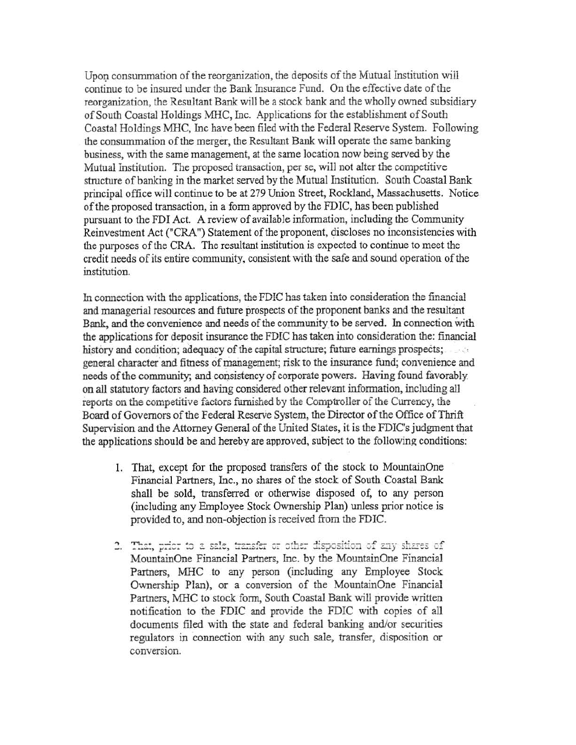Upon consummation of the reorganization, the deposits of the Mutual Institution will continue to be insured under the Bank Insurance Fund. On the effective date of the reorganization, the Resultant Bank will be a stock bank and the wholly owned subsidiary of South Coastal Holdings MHC, Inc. Applications for the establishment of South Coastal Holdings MHC, Inc have been filed with the Federal Reserve System. Following the consummation of the merger, the Resultant Bank will operate the same banking business, with the same management, at the same location now being served by the Mutual Institution. The proposed transaction, per se, will not alter the competitive structure of banking in the market served by the Mutual Institution. South Coastal Bank principal office will continue to be at 279 Union Street, Rockland, Massachusetts. Notice of the proposed transaction, in a form approved by the FDIC, has been published pursuant to the FDI Act. A review of available information, including the Community Reinvestment Act ("CRA") Statement of the proponent, discloses no inconsistencies with the purposes of the CRA. The resultant institution is expected to continue to meet the credit needs of its entire community, consistent with the safe and sound operation of the institution.

In connection with the applications, the FDIC has taken into consideration the financial and managerial resources and future prospects of the proponent banks and the resultant Bank, and the convenience and needs of the community to be served. In connection with the applications for deposit insurance the FDiC has taken into consideration the: financial history and condition; adequacy of the capital structure; future earnings prospects; general character and fitness of management; risk to the insurance fund; convenience and needs of the community; and consistency of corporate powers. Having found favorably on all statutory factors and having considered other relevant information, including all reports on the competitive factors furnished by the Comptroller of the Currency, the Board of Governors of the Federal Reserve System, the Director of the Office of Thrift Supervision and the Attorney General of the United States, it is the FDIC's judgment that the applications should be and hereby are approved, subject to the following conditions:

- 1. That, except for the proposed transfers of the stock to MountainOne Financial Partners, Inc., no shares of the stock of South Coastal Bank shall be sold, transferred or otherwise disposed of, to any person (including any Employee Stock Ownership Plan) unless prior notice is provided to, and non-objection is received from the FDIC.
- 2. That, prior to a sale, transfer or other disposition of any shares of MountainOne Financial Partners, Inc. by the MountainOne Financial Partners, MHC to any person (including any Employee Stock Ownership Plan), or a conversion of the MountainOne Financial Partners, MHC to stock form, South Coastal Bank will provide written notification to the FDIC and provide the FDIC with copies of all documents filed with the state and federal banking and/or securities regulators in connection with any such sale, transfer, disposition or conversion.